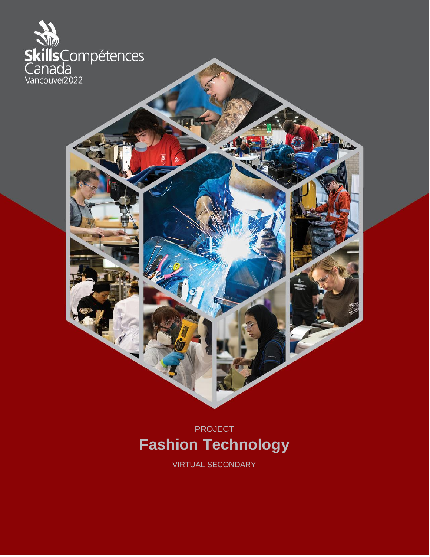

# PROJECT **Fashion Technology**

VIRTUAL SECONDARY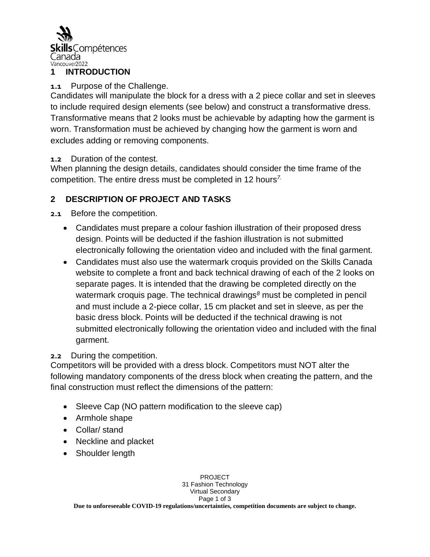

## **1 INTRODUCTION**

## **1.1** Purpose of the Challenge.

Candidates will manipulate the block for a dress with a 2 piece collar and set in sleeves to include required design elements (see below) and construct a transformative dress. Transformative means that 2 looks must be achievable by adapting how the garment is worn. Transformation must be achieved by changing how the garment is worn and excludes adding or removing components.

**1.2** Duration of the contest.

When planning the design details, candidates should consider the time frame of the competition. The entire dress must be completed in 12 hours*7.*

## **2 DESCRIPTION OF PROJECT AND TASKS**

**2.1** Before the competition.

- Candidates must prepare a colour fashion illustration of their proposed dress design. Points will be deducted if the fashion illustration is not submitted electronically following the orientation video and included with the final garment.
- Candidates must also use the watermark croquis provided on the Skills Canada website to complete a front and back technical drawing of each of the 2 looks on separate pages. It is intended that the drawing be completed directly on the watermark croquis page. The technical drawings*<sup>8</sup>* must be completed in pencil and must include a 2-piece collar, 15 cm placket and set in sleeve, as per the basic dress block. Points will be deducted if the technical drawing is not submitted electronically following the orientation video and included with the final garment.

## **2.2** During the competition.

Competitors will be provided with a dress block. Competitors must NOT alter the following mandatory components of the dress block when creating the pattern, and the final construction must reflect the dimensions of the pattern:

- Sleeve Cap (NO pattern modification to the sleeve cap)
- Armhole shape
- Collar/ stand
- Neckline and placket
- Shoulder length

PROJECT 31 Fashion Technology Virtual Secondary Page 1 of 3 **Due to unforeseeable COVID-19 regulations/uncertainties, competition documents are subject to change.**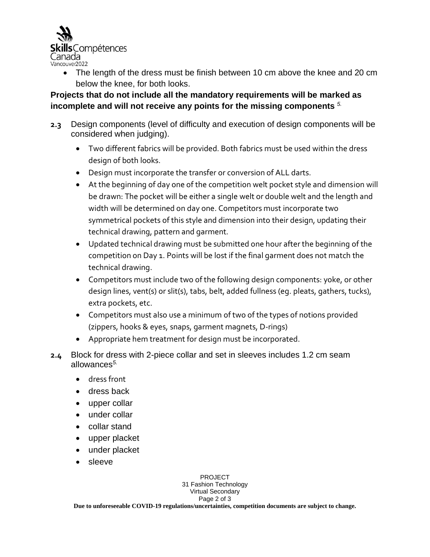

• The length of the dress must be finish between 10 cm above the knee and 20 cm below the knee, for both looks.

## **Projects that do not include all the mandatory requirements will be marked as incomplete and will not receive any points for the missing components** *5.*

- **2.3** Design components (level of difficulty and execution of design components will be considered when judging).
	- Two different fabrics will be provided. Both fabrics must be used within the dress design of both looks.
	- Design must incorporate the transfer or conversion of ALL darts.
	- At the beginning of day one of the competition welt pocket style and dimension will be drawn: The pocket will be either a single welt or double welt and the length and width will be determined on day one. Competitors must incorporate two symmetrical pockets of this style and dimension into their design, updating their technical drawing, pattern and garment.
	- Updated technical drawing must be submitted one hour after the beginning of the competition on Day 1. Points will be lost if the final garment does not match the technical drawing.
	- Competitors must include two of the following design components: yoke, or other design lines, vent(s) or slit(s), tabs, belt, added fullness (eg. pleats, gathers, tucks), extra pockets, etc.
	- Competitors must also use a minimum of two of the types of notions provided (zippers, hooks & eyes, snaps, garment magnets, D-rings)
	- Appropriate hem treatment for design must be incorporated.
- **2.4** Block for dress with 2-piece collar and set in sleeves includes 1.2 cm seam allowances*5.*
	- dress front
	- dress back
	- upper collar
	- under collar
	- collar stand
	- upper placket
	- under placket
	- sleeve

PROJECT 31 Fashion Technology Virtual Secondary Page 2 of 3 **Due to unforeseeable COVID-19 regulations/uncertainties, competition documents are subject to change.**